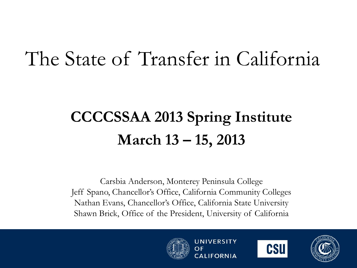### The State of Transfer in California

#### **CCCCSSAA 2013 Spring Institute March 13 – 15, 2013**

Carsbia Anderson, Monterey Peninsula College Jeff Spano, Chancellor's Office, California Community Colleges Nathan Evans, Chancellor's Office, California State University Shawn Brick, Office of the President, University of California





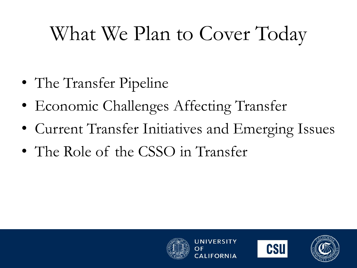# What We Plan to Cover Today

- The Transfer Pipeline
- Economic Challenges Affecting Transfer
- Current Transfer Initiatives and Emerging Issues
- The Role of the CSSO in Transfer





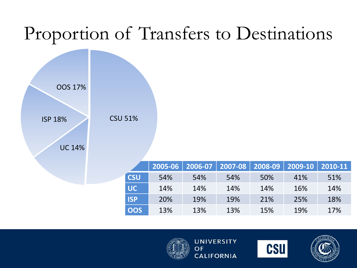#### Proportion of Transfers to Destinations



|            | $2005 - 06$ | $ 2006-07 $ | 2007-08 |     | $\vert$ 2008-09 $\vert$ 2009-10 $\vert$ 2010-11 |     |
|------------|-------------|-------------|---------|-----|-------------------------------------------------|-----|
| <b>CSU</b> | <b>54%</b>  | 54%         | 54%     | 50% | 41%                                             | 51% |
| UC.        | 14%         | 14%         | 14%     | 14% | 16%                                             | 14% |
| <b>ISP</b> | <b>20%</b>  | 19%         | 19%     | 21% | 25%                                             | 18% |
| <b>OOS</b> | 13%         | 13%         | 13%     | 15% | 19%                                             | 17% |





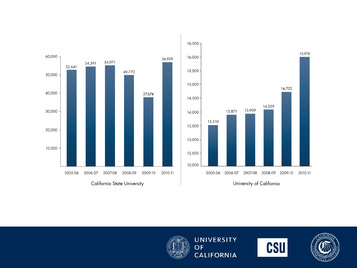







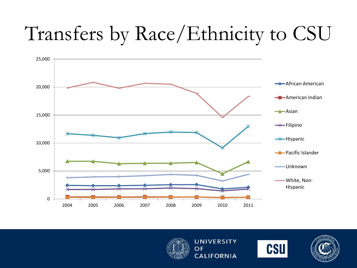# Transfers by Race/Ethnicity to CSU







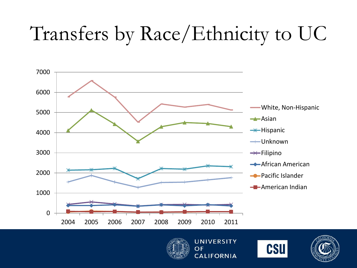# Transfers by Race/Ethnicity to UC







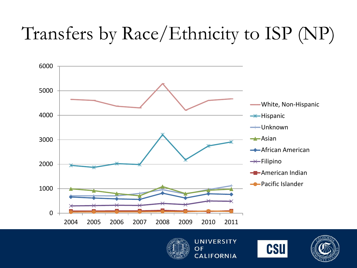## Transfers by Race/Ethnicity to ISP (NP)







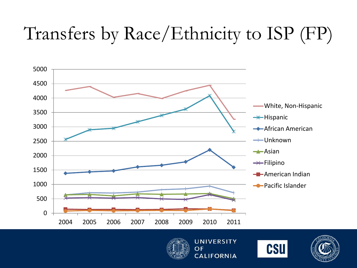## Transfers by Race/Ethnicity to ISP (FP)







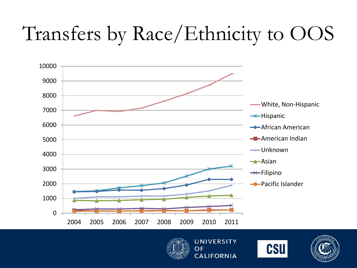# Transfers by Race/Ethnicity to OOS







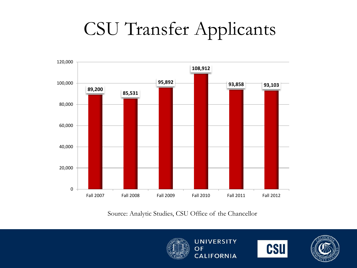## CSU Transfer Applicants



Source: Analytic Studies, CSU Office of the Chancellor





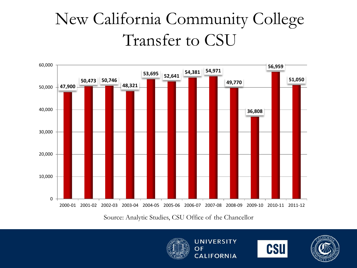#### New California Community College Transfer to CSU



Source: Analytic Studies, CSU Office of the Chancellor





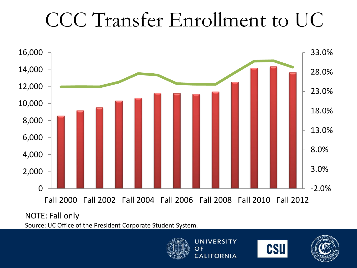## CCC Transfer Enrollment to UC



#### NOTE: Fall only

Source: UC Office of the President Corporate Student System.





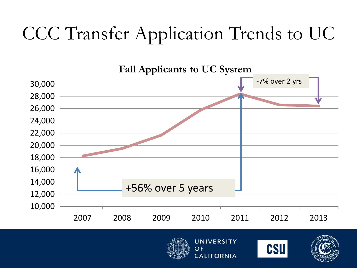## CCC Transfer Application Trends to UC







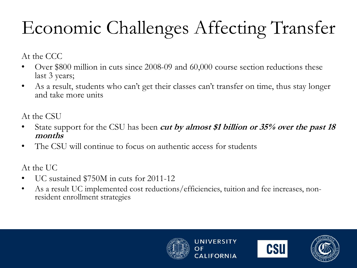# Economic Challenges Affecting Transfer

At the CCC

- Over \$800 million in cuts since 2008-09 and 60,000 course section reductions these last 3 years;
- As a result, students who can't get their classes can't transfer on time, thus stay longer and take more units

At the CSU

- State support for the CSU has been **cut by almost \$1 billion or 35% over the past 18 months**
- The CSU will continue to focus on authentic access for students

At the UC

- UC sustained \$750M in cuts for 2011-12
- As a result UC implemented cost reductions/efficiencies, tuition and fee increases, nonresident enrollment strategies





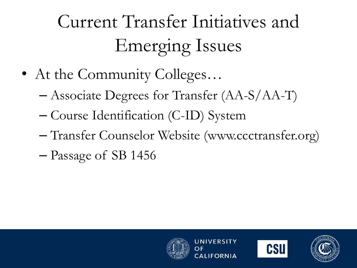- At the Community Colleges...
	- Associate Degrees for Transfer (AA-S/AA-T)
	- Course Identification (C-ID) System
	- Transfer Counselor Website (www.ccctransfer.org)
	- Passage of SB 1456





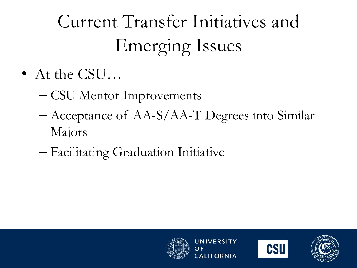- At the CSU...
	- CSU Mentor Improvements
	- Acceptance of AA-S/AA-T Degrees into Similar Majors
	- Facilitating Graduation Initiative





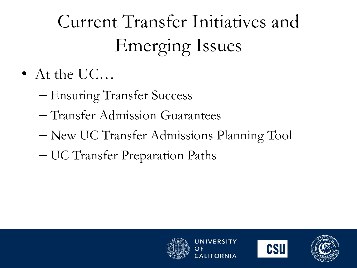- At the UC...
	- Ensuring Transfer Success
	- Transfer Admission Guarantees
	- New UC Transfer Admissions Planning Tool
	- UC Transfer Preparation Paths





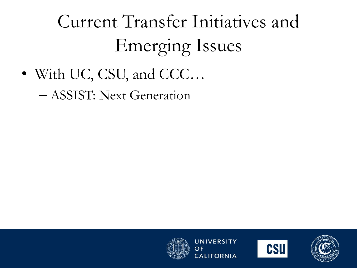• With UC, CSU, and CCC…

– ASSIST: Next Generation





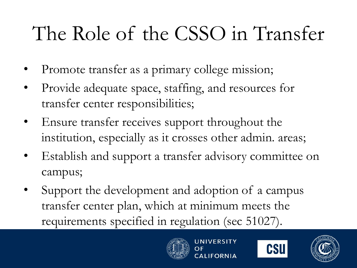# The Role of the CSSO in Transfer

- Promote transfer as a primary college mission;
- Provide adequate space, staffing, and resources for transfer center responsibilities;
- Ensure transfer receives support throughout the institution, especially as it crosses other admin. areas;
- Establish and support a transfer advisory committee on campus;
- Support the development and adoption of a campus transfer center plan, which at minimum meets the requirements specified in regulation (sec 51027).